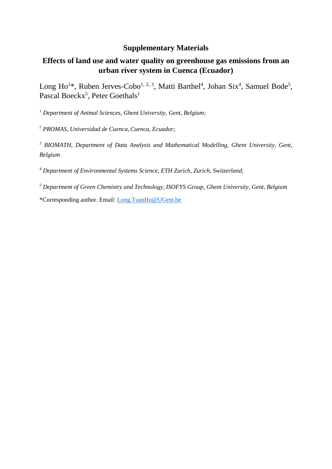# **Supplementary Materials**

# **Effects of land use and water quality on greenhouse gas emissions from an urban river system in Cuenca (Ecuador)**

Long Ho<sup>1\*</sup>, Ruben Jerves-Cobo<sup>1, 2, 3</sup>, Matti Barthel<sup>4</sup>, Johan Six<sup>4</sup>, Samuel Bode<sup>5</sup>, Pascal Boeckx<sup>5</sup>, Peter Goethals<sup>1</sup>

*<sup>1</sup> Department of Animal Sciences, Ghent University, Gent, Belgium;* 

*<sup>2</sup> PROMAS, Universidad de Cuenca,Cuenca, Ecuador;* 

*<sup>3</sup> BIOMATH, Department of Data Analysis and Mathematical Modelling, Ghent University, Gent, Belgium*

*<sup>4</sup> Department of Environmental Systems Science, ETH Zurich, Zurich, Switzerland;* 

*<sup>5</sup> Department of Green Chemistry and Technology, ISOFYS Group, Ghent University, Gent, Belgium*

\*Corresponding author. Email: [Long.TuanHo@UGent.be](mailto:Long.TuanHo@UGent.be)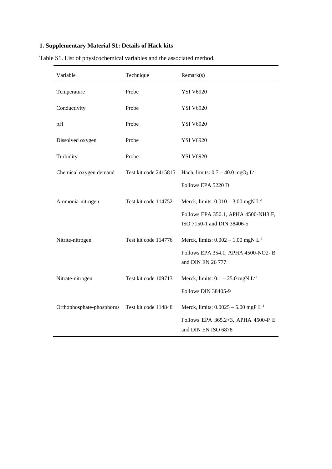## **1. Supplementary Material S1: Details of Hack kits**

| Variable                  | Technique             | Remark(s)                                                         |
|---------------------------|-----------------------|-------------------------------------------------------------------|
| Temperature               | Probe                 | <b>YSI V6920</b>                                                  |
| Conductivity              | Probe                 | <b>YSI V6920</b>                                                  |
| pH                        | Probe                 | <b>YSI V6920</b>                                                  |
| Dissolved oxygen          | Probe                 | <b>YSI V6920</b>                                                  |
| Turbidity                 | Probe                 | <b>YSI V6920</b>                                                  |
| Chemical oxygen demand    | Test kit code 2415815 | Hach, limits: $0.7 - 40.0$ mgO <sub>2</sub> L <sup>-1</sup>       |
|                           |                       | Follows EPA 5220 D                                                |
| Ammonia-nitrogen          | Test kit code 114752  | Merck, limits: $0.010 - 3.00$ mgN L <sup>-1</sup>                 |
|                           |                       | Follows EPA 350.1, APHA 4500-NH3 F,<br>ISO 7150-1 and DIN 38406-5 |
| Nitrite-nitrogen          | Test kit code 114776  | Merck, limits: $0.002 - 1.00$ mgN L <sup>-1</sup>                 |
|                           |                       | Follows EPA 354.1, APHA 4500-NO2-B<br>and DIN EN 26 777           |
| Nitrate-nitrogen          | Test kit code 109713  | Merck, limits: $0.1 - 25.0$ mgN L <sup>-1</sup>                   |
|                           |                       | Follows DIN 38405-9                                               |
| Orthophosphate-phosphorus | Test kit code 114848  | Merck, limits: $0.0025 - 5.00$ mgP L <sup>-1</sup>                |
|                           |                       | Follows EPA 365.2+3, APHA 4500-P E<br>and DIN EN ISO 6878         |

Table S1. List of physicochemical variables and the associated method.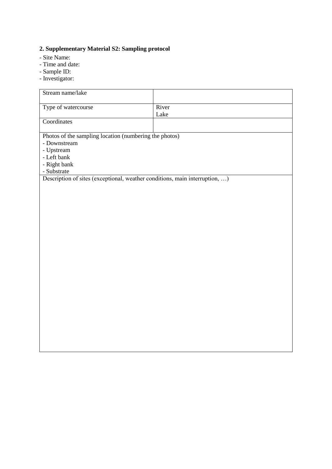# **2. Supplementary Material S2: Sampling protocol**

- Site Name:
- Time and date:
- Sample ID:
- Investigator:

| Stream name/lake                                                            |       |
|-----------------------------------------------------------------------------|-------|
| Type of watercourse                                                         | River |
| Coordinates                                                                 | Lake  |
| Photos of the sampling location (numbering the photos)                      |       |
| - Downstream                                                                |       |
| - Upstream<br>- Left bank                                                   |       |
| - Right bank                                                                |       |
| - Substrate                                                                 |       |
| Description of sites (exceptional, weather conditions, main interruption, ) |       |
|                                                                             |       |
|                                                                             |       |
|                                                                             |       |
|                                                                             |       |
|                                                                             |       |
|                                                                             |       |
|                                                                             |       |
|                                                                             |       |
|                                                                             |       |
|                                                                             |       |
|                                                                             |       |
|                                                                             |       |
|                                                                             |       |
|                                                                             |       |
|                                                                             |       |
|                                                                             |       |
|                                                                             |       |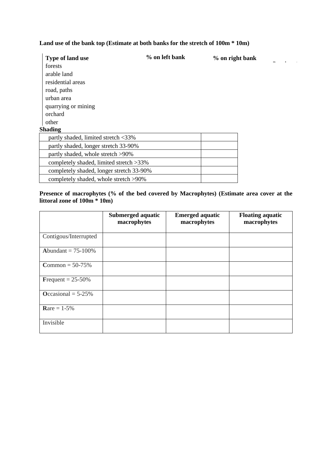### **Land use of the bank top (Estimate at both banks for the stretch of 100m \* 10m)**

**Dominant**

| <b>Type of land use</b>                  | % on left bank | % on right bank |
|------------------------------------------|----------------|-----------------|
| forests                                  |                |                 |
| arable land                              |                |                 |
| residential areas                        |                |                 |
| road, paths                              |                |                 |
| urban area                               |                |                 |
| quarrying or mining                      |                |                 |
| orchard                                  |                |                 |
| other                                    |                |                 |
| Shading                                  |                |                 |
| partly shaded, limited stretch <33%      |                |                 |
| partly shaded, longer stretch 33-90%     |                |                 |
| partly shaded, whole stretch >90%        |                |                 |
| completely shaded, limited stretch > 33% |                |                 |
| completely shaded, longer stretch 33-90% |                |                 |
| completely shaded, whole stretch >90%    |                |                 |

### **Presence of macrophytes (% of the bed covered by Macrophytes) (Estimate area cover at the littoral zone of 100m \* 10m)**

|                          | Submerged aquatic<br>macrophytes | <b>Emerged aquatic</b><br>macrophytes | <b>Floating aquatic</b><br>macrophytes |
|--------------------------|----------------------------------|---------------------------------------|----------------------------------------|
| Contigous/Interrupted    |                                  |                                       |                                        |
| Abundant = $75-100\%$    |                                  |                                       |                                        |
| <b>Common</b> = $50-75%$ |                                  |                                       |                                        |
| Frequent = $25-50\%$     |                                  |                                       |                                        |
| Occasional = $5-25%$     |                                  |                                       |                                        |
| <b>Rare</b> = $1-5%$     |                                  |                                       |                                        |
| Invisible                |                                  |                                       |                                        |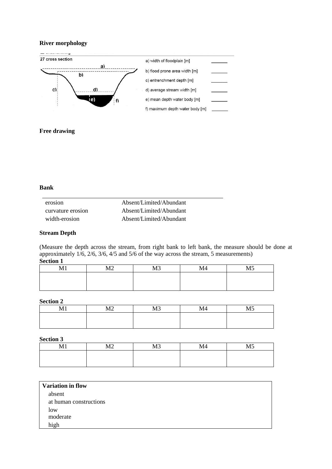### **River morphology**



#### **Free drawing**

### **Bank**

| erosion           | Absent/Limited/Abundant |
|-------------------|-------------------------|
| curvature erosion | Absent/Limited/Abundant |
| width-erosion     | Absent/Limited/Abundant |

#### **Stream Depth**

(Measure the depth across the stream, from right bank to left bank, the measure should be done at approximately 1/6, 2/6, 3/6, 4/5 and 5/6 of the way across the stream, 5 measurements) **Section 1**

| <b>A</b> # 1<br>. | $\sqrt{2}$<br>1714 | $\sqrt{2}$<br>-- | M <sub>4</sub> | $\cdots$<br>. |
|-------------------|--------------------|------------------|----------------|---------------|
|                   |                    |                  |                |               |
|                   |                    |                  |                |               |
|                   |                    |                  |                |               |

#### **Section 2**

| . | $\overline{\phantom{a}}$ | $\sqrt{2}$ | .<br>V14 | M <sub>5</sub> |
|---|--------------------------|------------|----------|----------------|
|   |                          |            |          |                |
|   |                          |            |          |                |

#### **Section 3**

| . | $\mathbf{r}$<br>1714 | $\sqrt{2}$<br><b>IAT</b> | M <sub>4</sub> | $\mathbf{X}$ |
|---|----------------------|--------------------------|----------------|--------------|
|   |                      |                          |                |              |
|   |                      |                          |                |              |

| <b>Variation in flow</b> |  |
|--------------------------|--|
| absent                   |  |
| at human constructions   |  |
| low                      |  |
| moderate                 |  |
| high                     |  |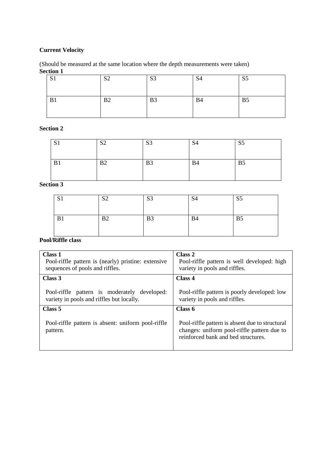## **Current Velocity**

### (Should be measured at the same location where the depth measurements were taken) **Section 1**

| $\mathbf{C}$<br>D. | S <sub>2</sub><br>◡ | S <sub>3</sub> | C <sub>A</sub><br>ນ⊤ | S <sub>5</sub> |
|--------------------|---------------------|----------------|----------------------|----------------|
| B1                 | B2                  | B <sub>3</sub> | <b>B4</b>            | B <sub>5</sub> |

## **Section 2**

| S <sub>1</sub> | $\mathbf{C}$<br>◡ | S <sub>3</sub> | S <sub>4</sub> | S <sub>5</sub> |
|----------------|-------------------|----------------|----------------|----------------|
| B1             | B2                | B <sub>3</sub> | <b>B</b> 4     | B <sub>5</sub> |

# **Section 3**

| C <sub>1</sub><br>ு பு | $\mathbf{C}$<br>◡ | S <sub>3</sub> | S <sub>4</sub> | S <sub>5</sub> |
|------------------------|-------------------|----------------|----------------|----------------|
| B1                     | B <sub>2</sub>    | B <sub>3</sub> | <b>B4</b>      | B <sub>5</sub> |

## **Pool/Riffle class**

| Class 1<br>Pool-riffle pattern is (nearly) pristine: extensive<br>sequences of pools and riffles. | Class 2<br>Pool-riffle pattern is well developed: high<br>variety in pools and riffles.                                               |
|---------------------------------------------------------------------------------------------------|---------------------------------------------------------------------------------------------------------------------------------------|
| Class 3                                                                                           | Class 4                                                                                                                               |
| Pool-riffle pattern is moderately developed:<br>variety in pools and riffles but locally.         | Pool-riffle pattern is poorly developed: low<br>variety in pools and riffles.                                                         |
| Class 5                                                                                           | Class 6                                                                                                                               |
| Pool-riffle pattern is absent: uniform pool-riffle<br>pattern.                                    | Pool-riffle pattern is absent due to structural<br>changes: uniform pool-riffle pattern due to<br>reinforced bank and bed structures. |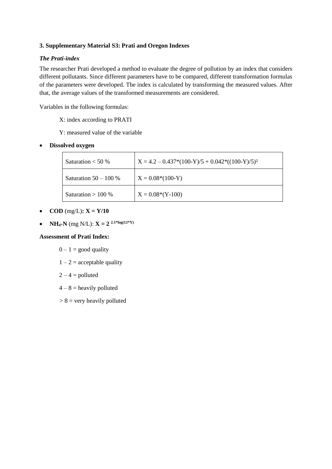## **3. Supplementary Material S3: Prati and Oregon Indexes**

### *The Prati-index*

The researcher Prati developed a method to evaluate the degree of pollution by an index that considers different pollutants. Since different parameters have to be compared, different transformation formulas of the parameters were developed. The index is calculated by transforming the measured values. After that, the average values of the transformed measurements are considered.

Variables in the following formulas:

- X: index according to PRATI
- Y: measured value of the variable
- **Dissolved oxygen**

| Saturation $< 50 \%$    | $X = 4.2 - 0.437*(100-Y)/5 + 0.042*((100-Y)/5)^2$ |
|-------------------------|---------------------------------------------------|
| Saturation $50 - 100\%$ | $X = 0.08*(100-Y)$                                |
| Saturation $> 100\%$    | $X = 0.08*(Y-100)$                                |

- **COD**  $(mg/L)$ **:**  $X = Y/10$
- **NH**<sub>4</sub>**-N** (mg N/L):  $X = 2^{2.1*log(12*Y)}$

### **Assessment of Prati Index:**

- $0 1$  = good quality
- $1 2$  = acceptable quality
- $2 4 =$  polluted
- $4 8$  = heavily polluted
- $> 8$  = very heavily polluted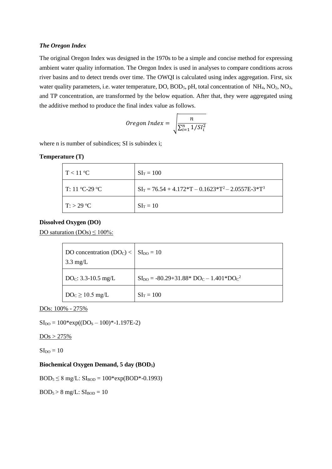#### *The Oregon Index*

The original Oregon Index was designed in the 1970s to be a simple and concise method for expressing ambient water quality information. The Oregon Index is used in analyses to compare conditions across river basins and to detect trends over time. The OWQI is calculated using index aggregation. First, six water quality parameters, i.e. water temperature, DO, BOD<sub>5</sub>, pH, total concentration of NH<sub>4</sub>, NO<sub>2</sub>, NO<sub>3</sub>, and TP concentration, are transformed by the below equation. After that, they were aggregated using the additive method to produce the final index value as follows.

 *Oregon Index* = 
$$
\sqrt{\frac{n}{\sum_{i=1}^{n} 1/SI_i^2}}
$$

where n is number of subindices; SI is subindex i;

#### **Temperature (T)**

| $\Gamma$ < 11 °C   | $SI_T = 100$                                                              |
|--------------------|---------------------------------------------------------------------------|
| T: 11 °C-29 °C     | $SI_T = 76.54 + 4.172 \cdot T - 0.1623 \cdot T^2 - 2.0557E - 3 \cdot T^3$ |
| $\Gamma$ : > 29 °C | $SI_T = 10$                                                               |

#### **Dissolved Oxygen (DO)**

DO saturation  $(DOs) \le 100\%$ :

| DO concentration $(DO_C) <   SL_{DO} = 10$<br>$3.3 \text{ mg/L}$ |                                                           |
|------------------------------------------------------------------|-----------------------------------------------------------|
| $DOC: 3.3-10.5 mg/L$                                             | $SI_{\text{DO}} = -80.29 + 31.88 * DO_C - 1.401 * DO_C^2$ |
| $DO_C \ge 10.5$ mg/L                                             | $SI_T = 100$                                              |

DOs: 100% - 275%

 $SI<sub>DO</sub> = 100*exp((DO<sub>S</sub> – 100)*-1.197E-2)$ 

 $DOs > 275%$ 

 $SI<sub>DO</sub> = 10$ 

#### **Biochemical Oxygen Demand, 5 day (BOD5)**

 $BOD_5 \le 8$  mg/L:  $SI_{BOD} = 100*exp(BOD*-0.1993)$ 

 $BOD_5 > 8$  mg/L:  $SI_{BOD} = 10$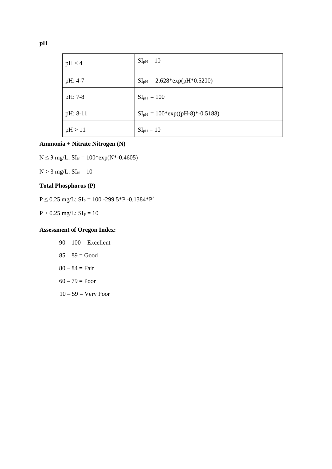| pH < 4   | $SIpH = 10$                      |
|----------|----------------------------------|
| pH: 4-7  | $SIpH = 2.628*exp(pH*0.5200)$    |
| pH: 7-8  | $SIpH = 100$                     |
| pH: 8-11 | $SIPH = 100*exp((pH-8)*-0.5188)$ |
| pH > 11  | $SIpH = 10$                      |

### **Ammonia + Nitrate Nitrogen (N)**

 $N \le 3$  mg/L:  $SI_N = 100*exp(N*-0.4605)$ 

 $N > 3$  mg/L:  $SI_N = 10$ 

## **Total Phosphorus (P)**

 $P \le 0.25$  mg/L:  $SI_P = 100 - 299.5 \cdot P - 0.1384 \cdot P^2$ 

 $P > 0.25$  mg/L:  $SI_P = 10$ 

## **Assessment of Oregon Index:**

- $90 100 =$  Excellent  $85 - 89 = Good$  $80 - 84 = Fair$  $60 - 79 = Poor$
- $10 59 = \text{Very Poor}$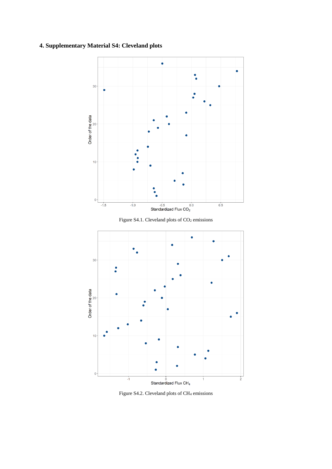## **4. Supplementary Material S4: Cleveland plots**



Figure S4.2. Cleveland plots of CH<sup>4</sup> emissions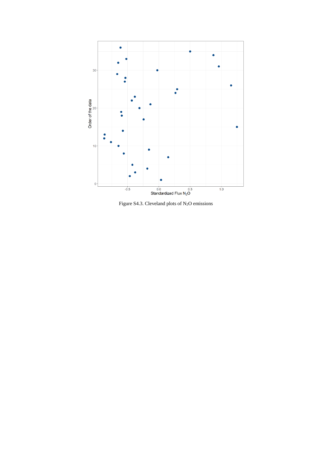

Figure S4.3. Cleveland plots of  $N_2O$  emissions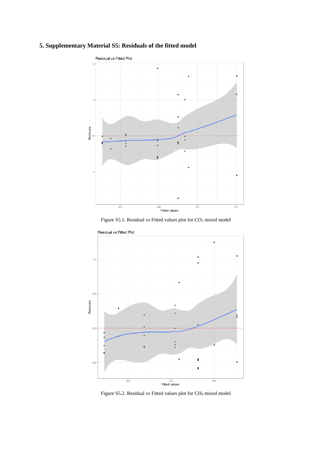# **5. Supplementary Material S5: Residuals of the fitted model**



Figure S5.1. Residual vs Fitted values plot for CO<sup>2</sup> mixed model



Figure S5.2. Residual vs Fitted values plot for CH<sup>4</sup> mixed model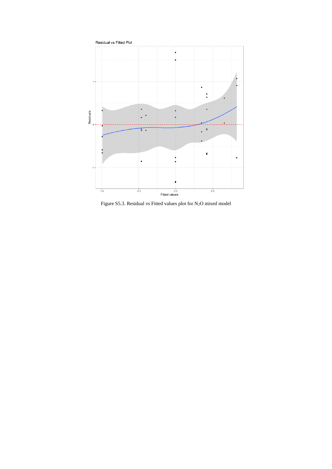

Figure S5.3. Residual vs Fitted values plot for N<sub>2</sub>O mixed model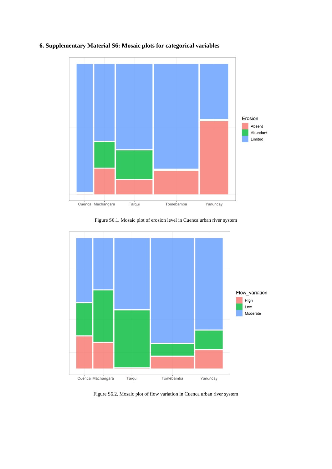

## **6. Supplementary Material S6: Mosaic plots for categorical variables**

Figure S6.1. Mosaic plot of erosion level in Cuenca urban river system



Figure S6.2. Mosaic plot of flow variation in Cuenca urban river system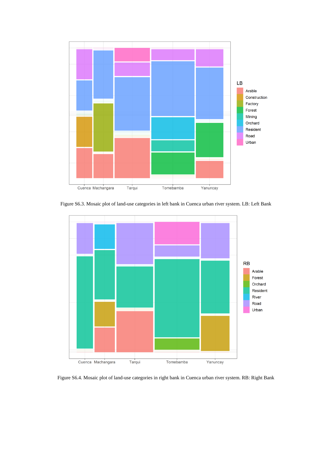

Figure S6.3. Mosaic plot of land-use categories in left bank in Cuenca urban river system. LB: Left Bank



Figure S6.4. Mosaic plot of land-use categories in right bank in Cuenca urban river system. RB: Right Bank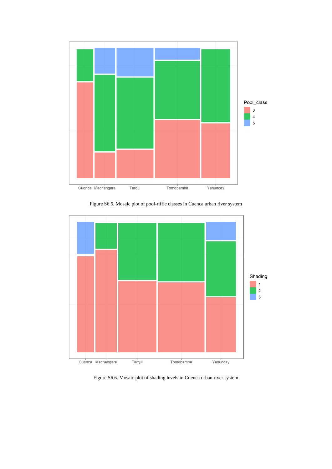

Figure S6.5. Mosaic plot of pool-riffle classes in Cuenca urban river system



Figure S6.6. Mosaic plot of shading levels in Cuenca urban river system